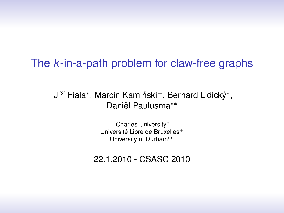#### The *k*-in-a-path problem for claw-free graphs

Jiří Fiala\*, Marcin Kamiński<sup>+</sup>, Bernard Lidický\*, Daniël Paulusma∗∗

> Charles University<sup>∗</sup> Université Libre de Bruxelles<sup>+</sup> University of Durham∗∗

<span id="page-0-0"></span>22.1.2010 - CSASC 2010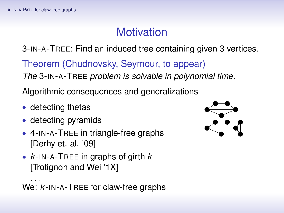# **Motivation**

3-IN-A-TREE: Find an induced tree containing given 3 vertices.

Theorem (Chudnovsky, Seymour, to appear)

*The* 3-IN-A-TREE *problem is solvable in polynomial time.*

Algorithmic consequences and generalizations

- detecting thetas
- detecting pyramids
- 4-IN-A-TREE in triangle-free graphs [Derhy et. al. '09]
- *k* -IN-A-TREE in graphs of girth *k* [Trotignon and Wei '1X]

<span id="page-1-0"></span>· · · We: *k* -IN-A-TREE for claw-free graphs

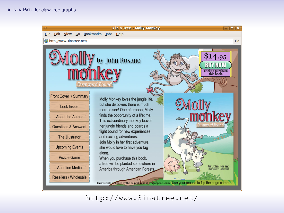

http://www.3inatree.[net](#page-1-0)[/](#page-3-0)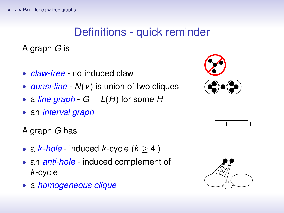# Definitions - quick reminder

A graph *G* is

- *claw-free* no induced claw
- *quasi-line N*(*v*) is union of two cliques
- a *line graph*  $-G = L(H)$  for some *H*
- an *interval graph*
- A graph *G* has
- a  $k$ -hole induced  $k$ -cycle  $(k > 4)$
- an *anti-hole* induced complement of *k*-cycle
- <span id="page-3-0"></span>• a *homogeneous clique*





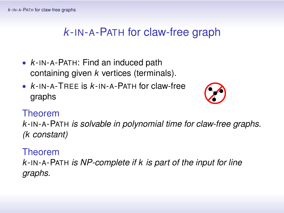### *k* -IN-A-PATH for claw-free graph

- *k* -IN-A-PATH: Find an induced path containing given *k* vertices (terminals).
- *k* -IN-A-TREE is *k* -IN-A-PATH for claw-free graphs



#### Theorem

*k* -IN-A-PATH *is solvable in polynomial time for claw-free graphs. (k constant)*

#### Theorem

*k* -IN-A-PATH *is NP-complete if k is part of the input for line graphs.*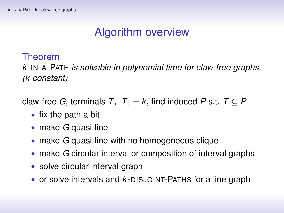## Algorithm overview

#### Theorem

*k* -IN-A-PATH *is solvable in polynomial time for claw-free graphs. (k constant)*

- fix the path a bit
- make *G* quasi-line
- make *G* quasi-line with no homogeneous clique
- make *G* circular interval or composition of interval graphs
- solve circular interval graph
- or solve intervals and *k* -DISJOINT-PATHS for a line graph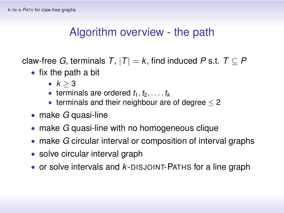## Algorithm overview - the path

- fix the path a bit
	- $k > 3$
	- terminals are ordered  $t_1, t_2, \ldots, t_k$
	- terminals and their neighbour are of degree  $<$  2
- make *G* quasi-line
- make *G* quasi-line with no homogeneous clique
- make *G* circular interval or composition of interval graphs
- solve circular interval graph
- or solve intervals and *k* -DISJOINT-PATHS for a line graph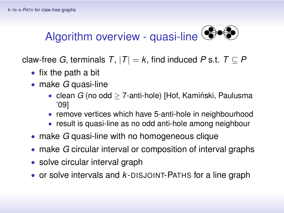

- fix the path a bit
- make *G* quasi-line
	- clean  $G$  (no odd  $>$  7-anti-hole) [Hof, Kamiński, Paulusma '09]
	- remove vertices which have 5-anti-hole in neighbourhood
	- result is quasi-line as no odd anti-hole among neighbour
- make *G* quasi-line with no homogeneous clique
- make *G* circular interval or composition of interval graphs
- solve circular interval graph
- <span id="page-7-0"></span>• or solve intervals and *k* -DISJOINT-PATHS for a line graph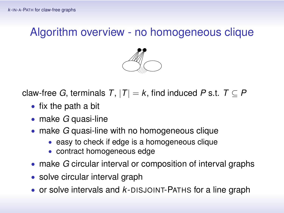## Algorithm overview - no homogeneous clique



- fix the path a bit
- make *G* quasi-line
- make *G* quasi-line with no homogeneous clique
	- easy to check if edge is a homogeneous clique
	- contract homogeneous edge
- make *G* circular interval or composition of interval graphs
- solve circular interval graph
- <span id="page-8-0"></span>• or solve intervals and *k* -DISJOINT-PAT[HS](#page-7-0) [fo](#page-9-0)[r](#page-7-0) [a](#page-8-0) [li](#page-9-0)[ne](#page-0-0) [g](#page-13-0)[ra](#page-0-0)[ph](#page-13-0)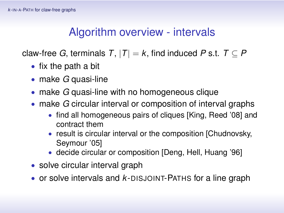## Algorithm overview - intervals

- fix the path a bit
- make *G* quasi-line
- make *G* quasi-line with no homogeneous clique
- make *G* circular interval or composition of interval graphs
	- find all homogeneous pairs of cliques [King, Reed '08] and contract them
	- result is circular interval or the composition [Chudnovsky, Seymour '05]
	- decide circular or composition [Deng, Hell, Huang '96]
- solve circular interval graph
- <span id="page-9-0"></span>• or solve intervals and *k* -DISJOINT-PATHS for a line graph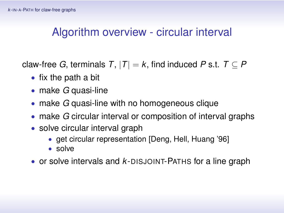### Algorithm overview - circular interval

- fix the path a bit
- make *G* quasi-line
- make *G* quasi-line with no homogeneous clique
- make *G* circular interval or composition of interval graphs
- solve circular interval graph
	- get circular representation [Deng, Hell, Huang '96]
	- solve
- or solve intervals and *k* -DISJOINT-PATHS for a line graph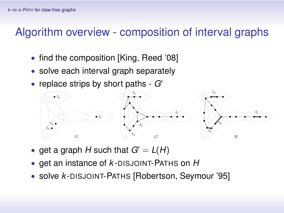## Algorithm overview - composition of interval graphs

- find the composition [King, Reed '08]
- solve each interval graph separately
- replace strips by short paths  $-G<sup>o</sup>$



- get a graph *H* such that  $G' = L(H)$
- get an instance of *k* -DISJOINT-PATHS on *H*
- solve *k* -DISJOINT-PATHS [Robertson, Seymour '95]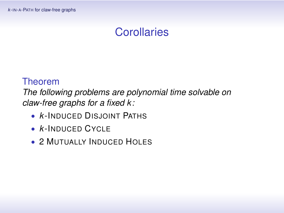## **Corollaries**

#### Theorem

*The following problems are polynomial time solvable on claw-free graphs for a fixed k:*

- *k* -INDUCED DISJOINT PATHS
- *k* -INDUCED CYCLE
- 2 MUTUALLY INDUCED HOLES